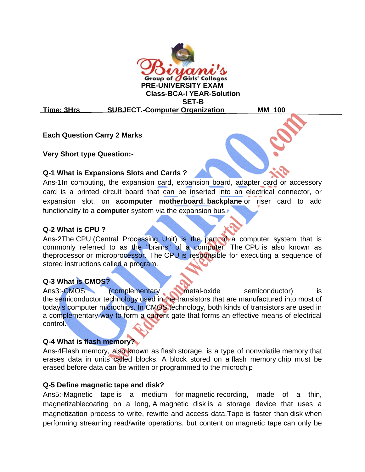**Time: 3Hrs SUBJECT.-Computer Organization MM 100**

# **Each Question Carry 2 Marks**

**Very Short type Question:-**

# **Q-1 What is Expansions Slots and Cards ?**

Ans-1In computing, the expansion card, expansion board, adapter card or accessory card is a printed circuit board that can be inserted into an electrical connector, or expansion slot, on a**computer motherboard**, **backplane** or riser card to add functionality to a **computer** system via the expansion bus.

**PRE-UNIVERSITY EXAM**

**Class-BCA-I YEAR-Solution SET-B**

oup of Girls' Colleges

# **Q-2 What is CPU ?**

Ans-2The CPU (Central Processing Unit) is the part of a computer system that is commonly referred to as the "brains" of a computer. The CPU is also known as theprocessor or microprocessor. The CPU is responsible for executing a sequence of stored instructions called a program.

# **Q-3 What is CMOS?**

Ans3:-CMOS (complementary metal-oxide semiconductor) is the [semiconductor](http://searchcio-midmarket.techtarget.com/definition/semiconductor) technology used in the [transistors](http://searchcio-midmarket.techtarget.com/definition/transistor) that are manufactured into most of today's computer [microchips](http://searchcio-midmarket.techtarget.com/definition/microchip). In CMOS technology, both kinds of transistors are used in a complementary way to form a current gate that forms an effective means of electrical control.

# **Q-4 What is flash memory?**

Ans-4Flash memory, also known as flash storage, is a type of nonvolatile memory that erases data in units called blocks. A block stored on a flash memory chip must be erased before data can be written or programmed to the microchip

# **Q-5 Define magnetic tape and disk?**

Ans5:-Magnetic tape is a medium for magnetic recording, made of a thin, magnetizablecoating on a long, A magnetic disk is a storage device that uses a magnetization process to write, rewrite and access data.Tape is faster than disk when performing streaming read/write operations, but content on magnetic tape can only be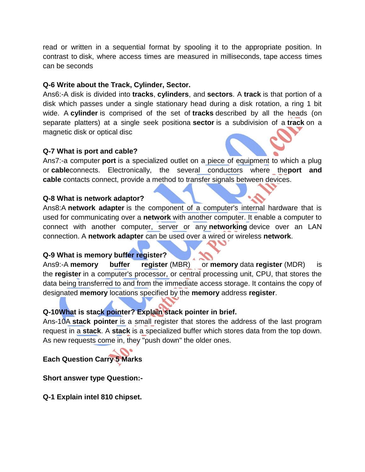read or written in a sequential format by spooling it to the appropriate position. In contrast to disk, where access times are measured in milliseconds, tape access times can be seconds

### **Q-6 Write about the Track, Cylinder, Sector.**

Ans6:-A disk is divided into **tracks**, **cylinders**, and **sectors**. A **track** is that portion of a disk which passes under a single stationary head during a disk rotation, a ring 1 bit wide. A **cylinder** is comprised of the set of **tracks** described by all the heads (on separate platters) at a single seek positiona **sector** is a subdivision of a **track** on a magnetic disk or optical disc

### **Q-7 What is port and cable?**

Ans7:-a computer **port** is a specialized outlet on a piece of equipment to which a plug or **cable**connects. Electronically, the several conductors where the**port and cable** contacts connect, provide a method to transfer signals between devices.

### **Q-8 What is network adaptor?**

Ans8:A **network adapter** is the component of a computer's internal hardware that is used for communicating over a **network** with another computer. It enable a computer to connect with another computer, server or any **networking** device over an LAN connection. A **network adapter** can be used over a wired or wireless **network**.

# **Q-9 What is memory buffer register?**

Ans9:-A **memory buffer register** (MBR) or **memory** data **register** (MDR) is the **register** in a computer's processor, or central processing unit, CPU, that stores the data being transferred to and from the immediate access storage. It contains the copy of designated **memory** locations specified by the **memory** address **register**.

# **Q-10What is stack pointer? Explain stack pointer in brief.**

Ans-10A **stack pointer** is a small register that stores the address of the last program request in a **stack**. A **stack** is a specialized buffer which stores data from the top down. As new requests come in, they "push down" the older ones.

# **Each Question Carry 5 Marks**

**Short answer type Question:-**

**Q-1 Explain intel 810 chipset.**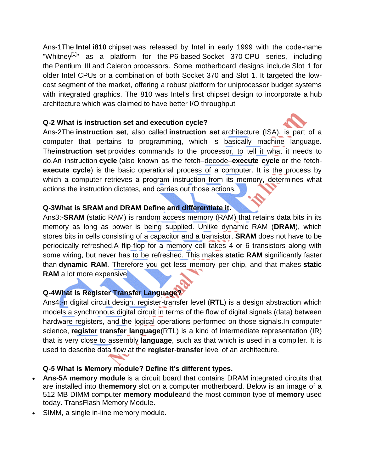Ans-1The **[Intel](https://en.wikipedia.org/wiki/Intel) i810** [chipset](https://en.wikipedia.org/wiki/Chipset) was released by Intel in early 1999 with the code-name "Whitney<sup>[\[1\]](https://en.wikipedia.org/wiki/Intel_810#cite_note-1)</sup>" as a platform for the [P6-](https://en.wikipedia.org/wiki/P6_(microarchitecture))based [Socket 370](https://en.wikipedia.org/wiki/Socket_370) CPU series, including the [Pentium III](https://en.wikipedia.org/wiki/Pentium_III) and [Celeron](https://en.wikipedia.org/wiki/Celeron) processors. Some motherboard designs include [Slot 1](https://en.wikipedia.org/wiki/Slot_1) for older Intel CPUs or a combination of both Socket 370 and Slot 1. It targeted the lowcost segment of the market, offering a robust platform for uniprocessor budget systems with integrated graphics. The 810 was Intel's first chipset design to incorporate a [hub](https://en.wikipedia.org/wiki/Intel_Hub_Architecture)  [architecture](https://en.wikipedia.org/wiki/Intel_Hub_Architecture) which was claimed to have better I/O throughput

### **Q-2 What is instruction set and execution cycle?**

Ans-2The **instruction set**, also called **instruction set** architecture (ISA), is part of a computer that pertains to programming, which is basically machine language. The**instruction set** provides commands to the processor, to tell it what it needs to do.An instruction **cycle** (also known as the fetch–decode–**execute cycle** or the fetch**execute cycle**) is the basic operational process of a computer. It is the process by which a computer retrieves a program instruction from its memory, determines what actions the instruction dictates, and carries out those actions.

# **Q-3What is SRAM and DRAM Define and differentiate it.**

Ans3:-**SRAM** (static RAM) is random access memory (RAM) that retains data bits in its memory as long as power is being supplied. Unlike dynamic RAM (**DRAM**), which stores bits in cells consisting of a capacitor and a transistor, **SRAM** does not have to be periodically refreshed.A flip-flop for a memory cell takes 4 or 6 transistors along with some wiring, but never has to be refreshed. This makes **static RAM** significantly faster than **dynamic RAM**. Therefore you get less memory per chip, and that makes **static RAM** a lot more expensive

#### **Q-4What is Register Transfer Language?**

Ans4:-n digital circuit design, register-transfer level (**RTL**) is a design abstraction which models a synchronous digital circuit in terms of the flow of digital signals (data) between hardware registers, and the logical operations performed on those signals.In computer science, **register transfer language**(RTL) is a kind of intermediate representation (IR) that is very close to assembly **language**, such as that which is used in a compiler. It is used to describe data flow at the **register**-**transfer** level of an architecture.

#### **Q-5 What is Memory module? Define it's different types.**

- **Ans-5**A **memory module** is a circuit board that contains DRAM integrated circuits that are installed into the**memory** slot on a computer motherboard. Below is an image of a 512 MB DIMM computer **memory module**and the most common type of **memory** used today. TransFlash Memory Module.
- SIMM, a single in-line memory module.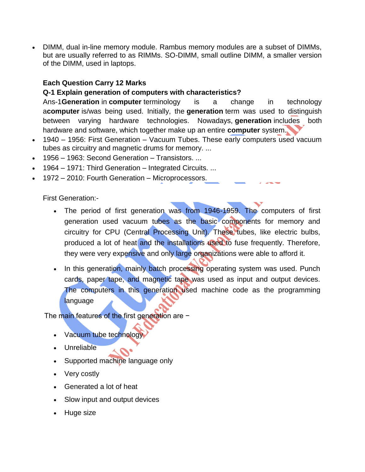DIMM, dual in-line memory module. Rambus memory modules are a subset of DIMMs, but are usually referred to as RIMMs. SO-DIMM, small outline DIMM, a smaller version of the DIMM, used in laptops.

### **Each Question Carry 12 Marks**

### **Q-1 Explain generation of computers with characteristics?**

Ans-1**Generation** in **computer** terminology is a change in technology a**computer** is/was being used. Initially, the **generation** term was used to distinguish between varying hardware technologies. Nowadays, **generation** includes both hardware and software, which together make up an entire **computer** system.

- 1940 1956: First Generation Vacuum Tubes. These early computers used vacuum tubes as circuitry and magnetic drums for memory. ...
- 1956 1963: Second Generation Transistors. ...
- 1964 1971: Third Generation Integrated Circuits. ...
- 1972 2010: Fourth Generation Microprocessors.

First Generation:-

- The period of first generation was from 1946-1959. The computers of first generation used vacuum tubes as the basic components for memory and circuitry for CPU (Central Processing Unit). These tubes, like electric bulbs, produced a lot of heat and the installations used to fuse frequently. Therefore, they were very expensive and only large organizations were able to afford it.
- In this generation, mainly batch processing operating system was used. Punch cards, paper tape, and magnetic tape was used as input and output devices. The computers in this generation used machine code as the programming language

The main features of the first generation are −

- Vacuum tube technology
- Unreliable
- Supported machine language only
- Very costly
- Generated a lot of heat
- Slow input and output devices
- Huge size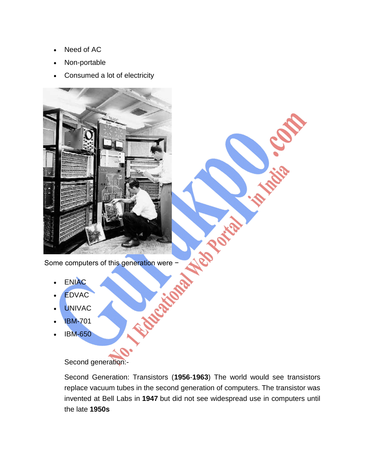- Need of AC
- Non-portable
- Consumed a lot of electricity



- ENIAC
- EDVAC
- UNIVAC
- IBM-701
- IBM-650

Second generation:-

Second Generation: Transistors (**1956**-**1963**) The world would see transistors replace vacuum tubes in the second generation of computers. The transistor was invented at Bell Labs in **1947** but did not see widespread use in computers until the late **1950s**

Bis C.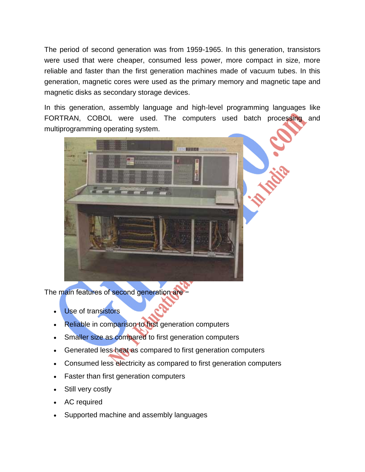The period of second generation was from 1959-1965. In this generation, transistors were used that were cheaper, consumed less power, more compact in size, more reliable and faster than the first generation machines made of vacuum tubes. In this generation, magnetic cores were used as the primary memory and magnetic tape and magnetic disks as secondary storage devices.

In this generation, assembly language and high-level programming languages like FORTRAN, COBOL were used. The computers used batch processing and multiprogramming operating system.



The main features of second generation are

- Use of transistors
- Reliable in comparison to first generation computers
- Smaller size as compared to first generation computers
- **Generated less heat as compared to first generation computers**
- Consumed less electricity as compared to first generation computers
- Faster than first generation computers
- Still very costly
- AC required
- Supported machine and assembly languages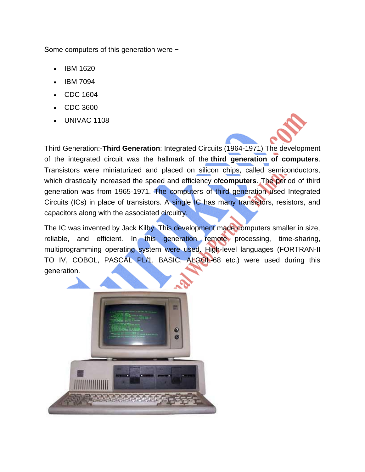Some computers of this generation were −

- IBM 1620
- IBM 7094
- CDC 1604
- CDC 3600
- UNIVAC 1108

Third Generation:-**Third Generation**: Integrated Circuits (1964-1971) The development of the integrated circuit was the hallmark of the **third generation of computers**. Transistors were miniaturized and placed on silicon chips, called semiconductors, which drastically increased the speed and efficiency of**computers**. The period of third generation was from 1965-1971. The computers of third generation used Integrated Circuits (ICs) in place of transistors. A single IC has many transistors, resistors, and capacitors along with the associated circuitry.

The IC was invented by Jack Kilby. This development made computers smaller in size, reliable, and efficient. In this generation remote processing, time-sharing, multiprogramming operating system were used. High-level languages (FORTRAN-II TO IV, COBOL, PASCAL PL/1, BASIC, ALGOL-68 etc.) were used during this generation.

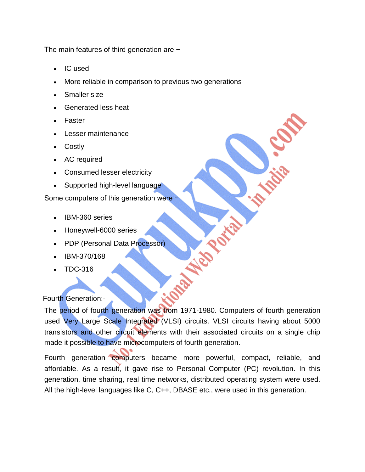The main features of third generation are −

- IC used
- More reliable in comparison to previous two generations
- Smaller size
- Generated less heat
- Faster
- Lesser maintenance
- **Costly**
- AC required
- Consumed lesser electricity
- Supported high-level language

Some computers of this generation were

- IBM-360 series
- Honeywell-6000 series
- PDP (Personal Data Processor)
- IBM-370/168
- TDC-316

### Fourth Generation:-

The period of fourth generation was from 1971-1980. Computers of fourth generation used Very Large Scale Integrated (VLSI) circuits. VLSI circuits having about 5000 transistors and other circuit elements with their associated circuits on a single chip made it possible to have microcomputers of fourth generation.

 $\frac{1}{2}$ 

Fourth generation computers became more powerful, compact, reliable, and affordable. As a result, it gave rise to Personal Computer (PC) revolution. In this generation, time sharing, real time networks, distributed operating system were used. All the high-level languages like C, C++, DBASE etc., were used in this generation.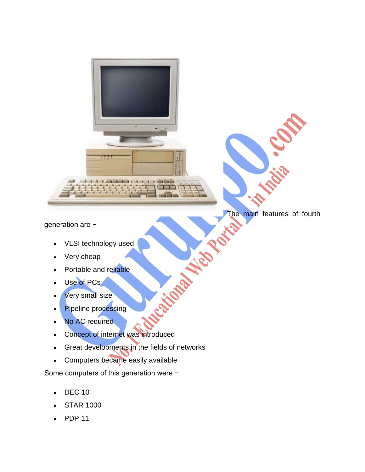generation are −

- VLSI technology used
- Very cheap
- Portable and reliable
- Use of PCs
- Very small size
- Pipeline processing
- No AC required
- Concept of internet was introduced
- Great developments in the fields of networks

film timestic

The main features of fourth

 $\frac{\partial}{\partial s}$ 

Computers became easily available

Some computers of this generation were −

- DEC 10
- STAR 1000
- PDP 11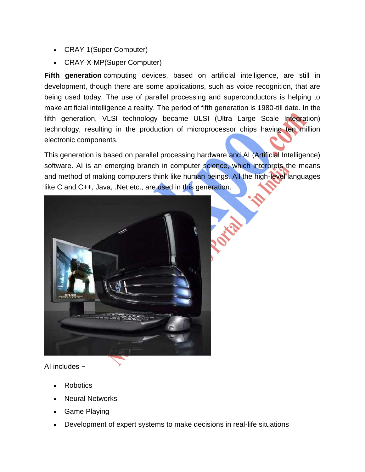- CRAY-1(Super Computer)
- CRAY-X-MP(Super Computer)

**Fifth generation** computing devices, based on artificial intelligence, are still in development, though there are some applications, such as voice recognition, that are being used today. The use of parallel processing and superconductors is helping to make artificial intelligence a reality. The period of fifth generation is 1980-till date. In the fifth generation, VLSI technology became ULSI (Ultra Large Scale Integration) technology, resulting in the production of microprocessor chips having ten million electronic components.

This generation is based on parallel processing hardware and AI (Artificial Intelligence) software. AI is an emerging branch in computer science, which interprets the means and method of making computers think like human beings. All the high-level languages like C and C++, Java, .Net etc., are used in this generation.



AI includes −

- Robotics
- Neural Networks
- Game Playing
- Development of expert systems to make decisions in real-life situations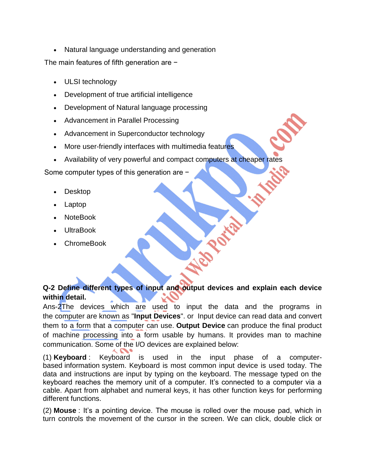Natural language understanding and generation

The main features of fifth generation are −

- ULSI technology
- Development of true artificial intelligence
- Development of Natural language processing
- Advancement in Parallel Processing
- Advancement in Superconductor technology
- More user-friendly interfaces with multimedia features
- Availability of very powerful and compact computers at cheaper rates

Some computer types of this generation are −

- Desktop
- Laptop
- NoteBook
- UltraBook
- **ChromeBook**

# **Q-2 Define different types of input and output devices and explain each device within detail.**

Ans-2The devices which are used to input the data and the programs in the [computer](http://ecomputernotes.com/fundamental/introduction-to-computer/what-is-computer) are known as "**Input Devices**". or Input device can read data and convert them to a form that a computer can use. **Output Device** can produce the final product of machine processing into a form usable by humans. It provides man to machine communication. Some of the I/O devices are explained below:

(1) **Keyboard** : Keyboard is used in the input phase of a computerbased [information](http://ecomputernotes.com/fundamental/information-technology/what-do-you-mean-by-data-and-information) system. Keyboard is most common input device is used today. The data and instructions are input by typing on the keyboard. The message typed on the keyboard reaches the memory unit of a computer. It"s connected to a computer via a cable. Apart from alphabet and numeral keys, it has other function keys for performing different functions.

(2) **Mouse** : It"s a pointing device. The mouse is rolled over the mouse pad, which in turn controls the movement of the cursor in the screen. We can click, double click or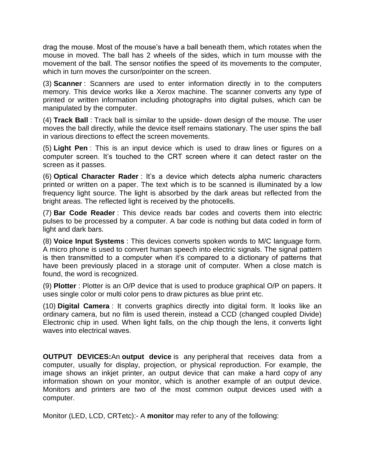drag the mouse. Most of the mouse"s have a ball beneath them, which rotates when the mouse in moved. The ball has 2 wheels of the sides, which in turn mousse with the movement of the ball. The sensor notifies the speed of its movements to the computer, which in turn moves the cursor/pointer on the screen.

(3) **Scanner** : Scanners are used to enter information directly in to the computers memory. This device works like a Xerox machine. The scanner converts any type of printed or written information including photographs into digital pulses, which can be manipulated by the computer.

(4) **Track Ball** : Track ball is similar to the upside- down design of the mouse. The user moves the ball directly, while the device itself remains stationary. The user spins the ball in various directions to effect the screen movements.

(5) **Light Pen** : This is an input device which is used to draw lines or figures on a computer screen. It's touched to the CRT screen where it can detect raster on the screen as it passes.

(6) **Optical Character Rader** : It"s a device which detects alpha numeric characters printed or written on a paper. The text which is to be scanned is illuminated by a low frequency light source. The light is absorbed by the dark areas but reflected from the bright areas. The reflected light is received by the photocells.

(7) **Bar Code Reader** : This device reads bar codes and coverts them into electric pulses to be processed by a computer. A bar code is nothing but data coded in form of light and dark bars.

(8) **Voice Input Systems** : This devices converts spoken words to M/C language form. A micro phone is used to convert human speech into electric signals. The signal pattern is then transmitted to a computer when it"s compared to a dictionary of patterns that have been previously placed in a storage unit of computer. When a close match is found, the word is recognized.

(9) **Plotter** : Plotter is an O/P device that is used to produce graphical O/P on papers. It uses single color or multi color pens to draw pictures as blue print etc.

(10) **Digital Camera** : It converts graphics directly into digital form. It looks like an ordinary camera, but no film is used therein, instead a CCD (changed coupled Divide) Electronic chip in used. When light falls, on the chip though the lens, it converts light waves into electrical waves.

**OUTPUT DEVICES:**An **output device** is any [peripheral](https://www.computerhope.com/jargon/p/peripher.htm) that receives data from a computer, usually for display, projection, or physical reproduction. For example, the image shows an inkjet printer, an output device that can make a [hard copy](https://www.computerhope.com/jargon/h/hardcopy.htm) of any information shown on your monitor, which is another example of an output device. Monitors and printers are two of the most common output devices used with a computer.

Monitor (LED, LCD, CRTetc):- A **monitor** may refer to any of the following: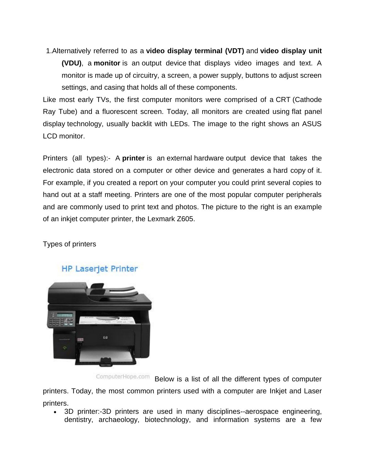1.Alternatively referred to as a **video display terminal (VDT)** and **video display unit (VDU)**, a **monitor** is an [output device](https://www.computerhope.com/jargon/o/outputde.htm) that displays video images and text. A monitor is made up of circuitry, a screen, a power supply, buttons to adjust screen settings, and casing that holds all of these components.

Like most early TVs, the first computer monitors were comprised of a [CRT](https://www.computerhope.com/jargon/c/crt.htm) (Cathode Ray Tube) and a fluorescent screen. Today, all monitors are created using [flat panel](https://www.computerhope.com/jargon/f/fpdispla.htm)  [display](https://www.computerhope.com/jargon/f/fpdispla.htm) technology, usually backlit with LEDs. The image to the right shows an ASUS LCD monitor.

Printers (all types):- A **printer** is an [external](https://www.computerhope.com/jargon/e/external.htm) hardware [output device](https://www.computerhope.com/jargon/o/outputde.htm) that takes the electronic data stored on a computer or other device and generates a [hard copy](https://www.computerhope.com/jargon/h/hardcopy.htm) of it. For example, if you created a report on your computer you could print several copies to hand out at a staff meeting. Printers are one of the most popular computer peripherals and are commonly used to print text and photos. The picture to the right is an example of an inkjet computer printer, the [Lexmark](https://www.computerhope.com/comp/lexmark.htm) Z605.

# Types of printers



**HP Laserjet Printer** 

ComputerHope.com Below is a list of all the different types of computer

printers. Today, the most common printers used with a computer are Inkjet and Laser printers.

 [3D printer:](https://www.computerhope.com/jargon/num/3d-printer.htm)-3D printers are used in many disciplines--aerospace engineering, dentistry, archaeology, biotechnology, and information systems are a few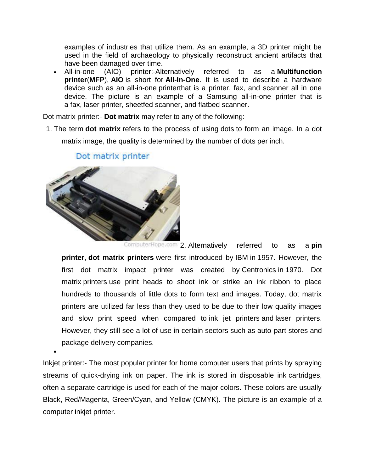examples of industries that utilize them. As an example, a 3D printer might be used in the field of archaeology to physically reconstruct ancient artifacts that have been damaged over time.

 [All-in-one \(AIO\)](https://www.computerhope.com/jargon/a/aio.htm) printer:-Alternatively referred to as a **Multifunction printer**(**MFP**), **AIO** is short for **All-In-One**. It is used to describe a hardware device such as an all-in-one [printert](https://www.computerhope.com/jargon/p/printer.htm)hat is a printer, fax, and scanner all in one device. The picture is an example of a Samsung all-in-one printer that is a [fax,](https://www.computerhope.com/jargon/f/fax.htm) [laser printer,](https://www.computerhope.com/jargon/l/laseprin.htm) sheetfed scanner, and [flatbed scanner.](https://www.computerhope.com/jargon/o/optiscan.htm)

[Dot matrix printer:](https://www.computerhope.com/jargon/d/dotmatri.htm)- **Dot matrix** may refer to any of the following:

1. The term **dot matrix** refers to the process of using [dots](https://www.computerhope.com/jargon/d/dot.htm) to form an image. In a dot matrix image, the quality is determined by the number of [dots per inch.](https://www.computerhope.com/jargon/d/dpi.htm)



 $\bullet$ 

Dot matrix printer

2. Alternatively referred to as a **pin printer**, **dot matrix printers** were first introduced by [IBM](https://www.computerhope.com/comp/ibm.htm) in [1957.](https://www.computerhope.com/history/1957.htm) However, the first dot matrix impact printer was created by [Centronics](https://www.computerhope.com/comp/centroni.htm) in [1970.](https://www.computerhope.com/history/1970.htm) Dot matrix [printers](https://www.computerhope.com/jargon/p/printer.htm) use print heads to shoot ink or strike an ink ribbon to place hundreds to thousands of little dots to form text and images. Today, dot matrix printers are utilized far less than they used to be due to their low quality images and slow print speed when compared to [ink jet printers](https://www.computerhope.com/jargon/i/inkjetpr.htm) and [laser printers.](https://www.computerhope.com/jargon/l/laseprin.htm) However, they still see a lot of use in certain sectors such as auto-part stores and package delivery companies.

[Inkjet printer:](https://www.computerhope.com/jargon/i/inkjetpr.htm)- The most popular [printer](https://www.computerhope.com/jargon/p/printer.htm) for home computer users that prints by spraying streams of quick-drying ink on paper. The ink is stored in disposable ink [cartridges,](https://www.computerhope.com/jargon/c/cartridg.htm) often a separate cartridge is used for each of the major colors. These colors are usually Black, Red/Magenta, Green/Cyan, and Yellow [\(CMYK\)](https://www.computerhope.com/jargon/c/cmyk.htm). The picture is an example of a computer inkjet printer.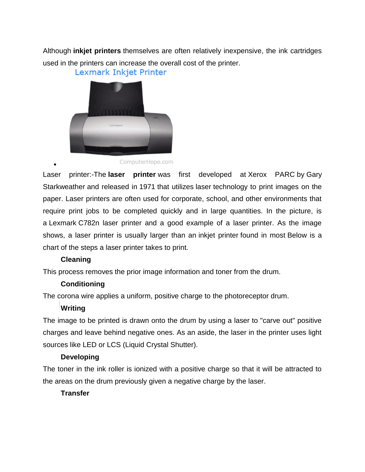Although **inkjet printers** themselves are often relatively inexpensive, the ink cartridges used in the printers can increase the overall cost of the printer.



ComputerHope.com

[Laser printer:](https://www.computerhope.com/jargon/l/laseprin.htm)-The **laser printer** was first developed at [Xerox PARC](https://www.computerhope.com/jargon/x/xparc.htm) by [Gary](https://www.computerhope.com/people/gary_starkweather.htm)  [Starkweather](https://www.computerhope.com/people/gary_starkweather.htm) and released in [1971](https://www.computerhope.com/history/1971.htm) that utilizes [laser](https://www.computerhope.com/jargon/l/laser.htm) technology to print images on the paper. Laser printers are often used for corporate, school, and other environments that require print jobs to be completed quickly and in large quantities. In the picture, is a [Lexmark](https://www.computerhope.com/comp/lexmark.htm) C782n laser printer and a good example of a laser printer. As the image shows, a laser printer is usually larger than an [inkjet printer](https://www.computerhope.com/jargon/i/inkjetpr.htm) found in most Below is a chart of the steps a laser printer takes to print.

#### **Cleaning**

 $\bullet$ 

This process removes the prior image information and toner from the [drum.](https://www.computerhope.com/jargon/d/drum.htm)

#### **Conditioning**

The corona wire applies a uniform, positive charge to the photoreceptor drum.

# **Writing**

The image to be printed is drawn onto the drum by using a laser to "carve out" positive charges and leave behind negative ones. As an aside, the laser in the printer uses light sources like [LED](https://www.computerhope.com/jargon/l/led.htm) or LCS (Liquid Crystal Shutter).

#### **Developing**

The toner in the ink roller is ionized with a positive charge so that it will be attracted to the areas on the drum previously given a negative charge by the laser.

#### **Transfer**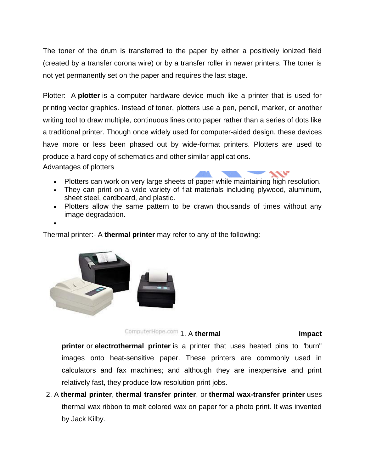The toner of the drum is transferred to the paper by either a positively ionized field (created by a transfer corona wire) or by a transfer roller in newer printers. The toner is not yet permanently set on the paper and requires the last stage.

[Plotter:](https://www.computerhope.com/jargon/p/plotter.htm)- A **plotter** is a computer hardware device much like a printer that is used for printing [vector graphics.](https://www.computerhope.com/jargon/v/vector-graphic.htm) Instead of [toner,](https://www.computerhope.com/jargon/t/toner.htm) plotters use a pen, pencil, marker, or another writing tool to draw multiple, continuous lines onto paper rather than a series of dots like a traditional printer. Though once widely used for [computer-aided design,](https://www.computerhope.com/jargon/c/cad.htm) these devices have more or less been phased out by wide-format printers. Plotters are used to produce a [hard copy](https://www.computerhope.com/jargon/h/hardcopy.htm) of schematics and other similar applications. Advantages of plotters

- Plotters can work on very large sheets of paper while maintaining high resolution.
- They can print on a wide variety of flat materials including plywood, aluminum, sheet steel, cardboard, and plastic.
- Plotters allow the same pattern to be drawn thousands of times without any image degradation.
- $\bullet$

[Thermal printer:](https://www.computerhope.com/jargon/t/therprin.htm)- A **thermal printer** may refer to any of the following:



ComputerHope.com 1. A **thermal impact** 

**printer** or **electrothermal printer** is a printer that uses heated pins to "burn" images onto heat-sensitive paper. These printers are commonly used in calculators and fax machines; and although they are inexpensive and print relatively fast, they produce low resolution print jobs.

2. A **thermal printer**, **thermal transfer printer**, or **thermal wax-transfer printer** uses thermal wax ribbon to melt colored wax on paper for a photo print. It was invented by [Jack Kilby.](https://www.computerhope.com/people/jack_kilby.htm)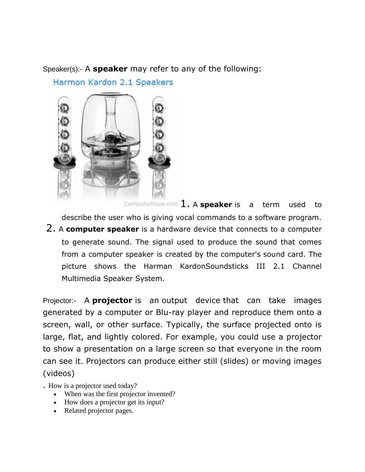Speaker(s):- A **speaker** may refer to any of the following:



Harmon Kardon 2.1 Speakers

1. A **speaker** is a term used to describe the user who is giving vocal commands to a [software](https://www.computerhope.com/jargon/s/software.htm) program. 2. A **computer speaker** is a [hardware device](https://www.computerhope.com/jargon/h/hardware.htm) that connects to a computer to generate sound. The signal used to produce the sound that comes from a computer speaker is created by the computer's [sound card.](https://www.computerhope.com/jargon/s/souncard.htm) The picture shows the Harman KardonSoundsticks III 2.1 Channel Multimedia Speaker System.

Projector:- A **projector** is an [output device](https://www.computerhope.com/jargon/o/outputde.htm) that can take images generated by a computer or Blu-ray player and reproduce them onto a screen, wall, or other surface. Typically, the surface projected onto is large, flat, and lightly colored. For example, you could use a projector to show a presentation on a large screen so that everyone in the room can see it. Projectors can produce either still (slides) or moving images (videos)

. [How is a projector used today?](https://www.computerhope.com/jargon/p/projecto.htm#projector)

- [When was the first projector invented?](https://www.computerhope.com/jargon/p/projecto.htm#invented)
- [How does a projector get its input?](https://www.computerhope.com/jargon/p/projecto.htm#input)
- [Related projector pages.](https://www.computerhope.com/jargon/p/projecto.htm#related)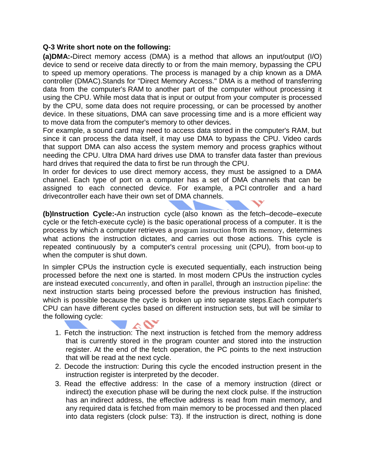#### **Q-3 Write short note on the following:**

**(a)DMA:-**Direct memory access (DMA) is a method that allows an input/output (I/O) device to send or receive data directly to or from the main memory, bypassing the CPU to speed up memory operations. The process is managed by a chip known as a DMA controller (DMAC).Stands for "Direct Memory Access." DMA is a method of transferring data from the computer's [RAM](https://techterms.com/definition/ram) to another part of the computer without processing it using the [CPU.](https://techterms.com/definition/cpu) While most data that is input or output from your computer is processed by the CPU, some data does not require processing, or can be processed by another device. In these situations, DMA can save processing time and is a more efficient way to move data from the computer's memory to other devices.

For example, a sound card may need to access data stored in the computer's RAM, but since it can process the data itself, it may use DMA to bypass the CPU. Video cards that support DMA can also access the system memory and process graphics without needing the CPU. Ultra [DMA](https://techterms.com/definition/ultradma) hard drives use DMA to transfer data faster than previous hard drives that required the data to first be run through the CPU.

In order for devices to use direct memory access, they must be assigned to a DMA channel. Each type of port on a computer has a set of DMA channels that can be assigned to each connected device. For example, a [PCI](https://techterms.com/definition/pci) controller and a [hard](https://techterms.com/definition/harddrive) [drivec](https://techterms.com/definition/harddrive)ontroller each have their own set of DMA channels.

**(b)Instruction Cycle:-**An instruction cycle (also known as the fetch–decode–execute cycle or the fetch-execute cycle) is the basic operational process of a computer. It is the process by which a computer retrieves a [program](https://en.wikipedia.org/wiki/Machine_code) [instruction](https://en.wikipedia.org/wiki/Instruction_(computer_science)) from its [memory](https://en.wikipedia.org/wiki/Computer_storage), determines what actions the instruction dictates, and carries out those actions. This cycle is repeated continuously by a computer's [central processing unit](https://en.wikipedia.org/wiki/Central_processing_unit) (CPU), from [boot-up](https://en.wikipedia.org/wiki/Booting) to when the computer is shut down.

In simpler CPUs the instruction cycle is executed sequentially, each instruction being processed before the next one is started. In most modern CPUs the instruction cycles are instead executed [concurrently](https://en.wikipedia.org/wiki/Concurrent_computing), and often in [parallel](https://en.wikipedia.org/wiki/Parallel_computing), through an [instruction pipeline](https://en.wikipedia.org/wiki/Instruction_pipeline): the next instruction starts being processed before the previous instruction has finished, which is possible because the cycle is broken up into separate steps.Each computer's CPU can have different cycles based on different instruction sets, but will be similar to the following cycle:

- 1. Fetch the instruction: The next instruction is fetched from the memory address that is currently stored in the program counter and stored into the instruction register. At the end of the fetch operation, the PC points to the next instruction that will be read at the next cycle.
- 2. Decode the instruction: During this cycle the encoded instruction present in the instruction register is interpreted by the decoder.
- 3. Read the effective address: In the case of a memory instruction (direct or indirect) the execution phase will be during the next clock pulse. If the instruction has an [indirect address,](https://en.wikipedia.org/wiki/Indirect_address) the effective address is read from main memory, and any required data is fetched from main memory to be processed and then placed into data registers (clock pulse: T3). If the instruction is direct, nothing is done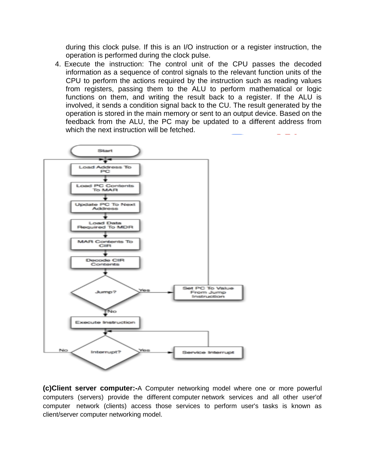during this clock pulse. If this is an I/O instruction or a register instruction, the operation is performed during the clock pulse.

4. Execute the instruction: The control unit of the CPU passes the decoded information as a sequence of control signals to the relevant function units of the CPU to perform the actions required by the instruction such as reading values from registers, passing them to the ALU to perform mathematical or logic functions on them, and writing the result back to a register. If the ALU is involved, it sends a condition signal back to the CU. The result generated by the operation is stored in the main memory or sent to an output device. Based on the feedback from the ALU, the PC may be updated to a different address from which the next instruction will be fetched.



**(c)Client server computer:-**A Computer networking model where one or more powerful computers (servers) provide the different [computer](http://ecomputernotes.com/fundamental/introduction-to-computer/what-is-computer) network services and all other user'of computer network (clients) access those services to perform user's tasks is known as client/server computer networking model.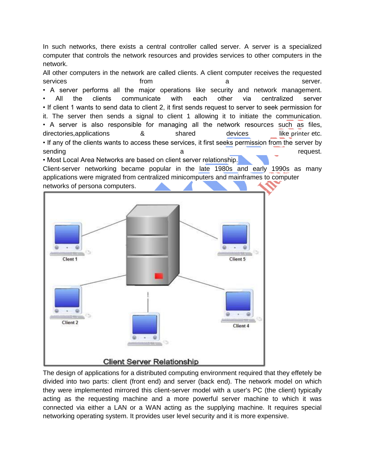In such networks, there exists a central controller called server. A server is a specialized computer that controls the network resources and provides services to other computers in the network.

All other computers in the network are called clients. A client computer receives the requested services and server. The server of trom the server and server. • A server performs all the major operations like security and network management. • All the clients communicate with each other via centralized server • If client 1 wants to send data to client 2, it first sends request to server to seek permission for it. The server then sends a signal to client 1 allowing it to initiate the communication. • A server is also responsible for managing all the network resources such as files, directories,applications and the shared devices like [printer](http://ecomputernotes.com/fundamental/input-output-and-memory/what-is-a-printer-and-what-are-the-different-types-of-printers) etc. • If any of the clients wants to access these services, it first seeks permission from the server by sending a request. • Most Local Area Networks are based on client server relationship.

Client-server networking became popular in the late 1980s and early 1990s as many applications were migrated from centralized minicomputers and mainframes to computer networks of persona computers.



The design of applications for a distributed computing environment required that they effetely be divided into two parts: client (front end) and server (back end). The network model on which they were implemented mirrored this client-server model with a user's PC (the client) typically acting as the requesting machine and a more powerful server machine to which it was connected via either a LAN or a WAN acting as the supplying machine. It requires special networking [operating system.](http://ecomputernotes.com/fundamental/disk-operating-system/what-is-operating-system) It provides user level security and it is more expensive.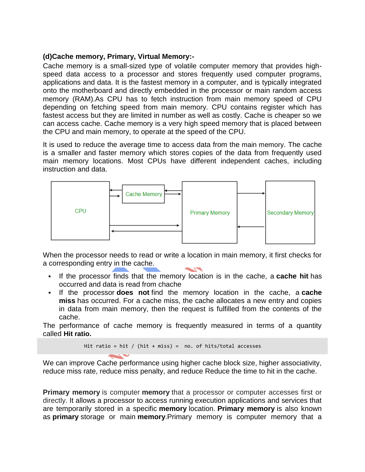#### **(d)Cache memory, Primary, Virtual Memory:-**

Cache memory is a small-sized type of volatile computer memory that provides highspeed data access to a processor and stores frequently used computer programs, applications and data. It is the fastest memory in a computer, and is typically integrated onto the motherboard and directly embedded in the processor or main random access memory (RAM).As CPU has to fetch instruction from main memory speed of CPU depending on fetching speed from main memory. CPU contains register which has fastest access but they are limited in number as well as costly. Cache is cheaper so we can access cache. Cache memory is a very high speed memory that is placed between the CPU and main memory, to operate at the speed of the CPU.

It is used to reduce the average time to access data from the main [memory](https://en.wikipedia.org/wiki/Main_memory). The cache is a smaller and faster memory which stores copies of the data from frequently used main memory locations. Most CPUs have different independent caches, including instruction and data.



When the processor needs to read or write a location in main memory, it first checks for a corresponding entry in the cache.

- If the processor finds that the memory location is in the cache, a **cache hit** has occurred and data is read from chache
- If the processor **does not** find the memory location in the cache, a **cache miss** has occurred. For a cache miss, the cache allocates a new entry and copies in data from main memory, then the request is fulfilled from the contents of the cache.

The performance of cache memory is frequently measured in terms of a quantity called **Hit ratio.**

```
Hit ratio = hit / (hit + miss) = no. of hits/total accesses
```
We can improve Cache performance using higher cache block size, higher associativity, reduce miss rate, reduce miss penalty, and reduce Reduce the time to hit in the cache.

**Primary memory** is computer **memory** that a processor or computer accesses first or directly. It allows a processor to access running execution applications and services that are temporarily stored in a specific **memory** location. **Primary memory** is also known as **primary** storage or main **memory**.Primary memory is computer memory that a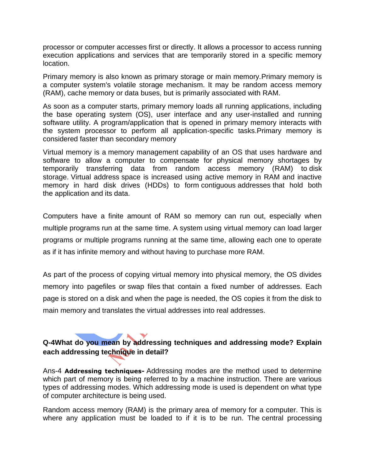processor or computer accesses first or directly. It allows a processor to access running execution applications and services that are temporarily stored in a specific memory location.

Primary memory is also known as primary storage or main memory.Primary memory is a computer system's volatile storage mechanism. It may be random access memory (RAM), cache memory or data buses, but is primarily associated with RAM.

As soon as a computer starts, primary memory loads all running applications, including the base operating system (OS), user interface and any user-installed and running software utility. A program/application that is opened in primary memory interacts with the system processor to perform all application-specific tasks.Primary memory is considered faster than secondary memory

Virtual memory is a [memory management](http://whatis.techtarget.com/definition/memory-management) capability of an OS that uses hardware and software to allow a computer to compensate for physical memory shortages by temporarily transferring data from random access memory [\(RAM\)](http://searchmobilecomputing.techtarget.com/definition/RAM) to [disk](http://searchstorage.techtarget.com/definition/hard-disk)  [storage.](http://searchstorage.techtarget.com/definition/hard-disk) [Virtual address](http://whatis.techtarget.com/definition/virtual-address) space is increased using active memory in RAM and inactive memory in hard disk drives [\(HDDs\)](http://searchstorage.techtarget.com/definition/hard-disk-drive) to form [contiguous](http://searchsqlserver.techtarget.com/definition/contiguous) [addresses](http://searchstorage.techtarget.com/definition/address-space) that hold both the [application](http://searchsoftwarequality.techtarget.com/definition/application) and its data.

Computers have a finite amount of RAM so memory can run out, especially when multiple [programs](http://searchsoftwarequality.techtarget.com/definition/program) run at the same time. A [system](http://searchwindowsserver.techtarget.com/definition/system) using virtual memory can load larger programs or multiple programs running at the same time, allowing each one to operate as if it has infinite memory and without having to purchase more RAM.

As part of the process of copying virtual memory into physical memory, the OS divides memory into pagefiles or [swap files](http://searchwindowsserver.techtarget.com/definition/swap-file-swap-space-or-pagefile) that contain a fixed number of addresses. Each page is stored on a disk and when the page is needed, the OS copies it from the disk to main memory and translates the virtual addresses into real addresses.

# **Q-4What do you mean by addressing techniques and addressing mode? Explain each addressing technique in detail?**

Ans-4 **Addressing techniques-** Addressing modes are the method used to determine which part of memory is being referred to by a machine instruction. There are various types of addressing modes. Which addressing mode is used is dependent on what type of [computer architecture](http://www.wisegeek.com/what-is-computer-architecture.htm) is being used.

Random access memory (RAM) is the primary area of memory for a computer. This is where any application must be loaded to if it is to be run. The central processing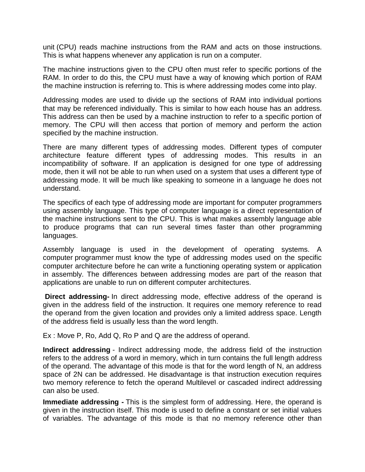unit [\(CPU\)](http://www.wisegeek.com/how-does-a-cpu-work.htm) reads machine instructions from the RAM and acts on those instructions. This is what happens whenever any application is run on a computer.

The machine instructions given to the CPU often must refer to specific portions of the RAM. In order to do this, the CPU must have a way of knowing which portion of RAM the machine instruction is referring to. This is where addressing modes come into play.

Addressing modes are used to divide up the sections of RAM into individual portions that may be referenced individually. This is similar to how each house has an address. This address can then be used by a machine instruction to refer to a specific portion of memory. The CPU will then access that portion of memory and perform the action specified by the machine instruction.

There are many different types of addressing modes. Different types of computer architecture feature different types of addressing modes. This results in an incompatibility of software. If an application is designed for one type of addressing mode, then it will not be able to run when used on a system that uses a different type of addressing mode. It will be much like speaking to someone in a language he does not understand.

The specifics of each type of addressing mode are important for computer programmers using assembly language. This type of [computer language](http://www.wisegeek.com/what-is-computer-language.htm) is a direct representation of the machine instructions sent to the CPU. This is what makes assembly language able to produce programs that can run several times faster than other programming languages.

Assembly language is used in the development of operating systems. A computer [programmer](http://www.wisegeek.com/what-does-a-programmer-do.htm) must know the type of addressing modes used on the specific computer architecture before he can write a functioning operating system or application in assembly. The differences between addressing modes are part of the reason that applications are unable to run on different computer architectures.

**Direct addressing-** In direct addressing mode, effective address of the operand is given in the address field of the instruction. It requires one memory reference to read the operand from the given location and provides only a limited address space. Length of the address field is usually less than the word length.

Ex : Move P, Ro, Add Q, Ro P and Q are the address of operand.

**Indirect addressing** - Indirect addressing mode, the address field of the instruction refers to the address of a word in memory, which in turn contains the full length address of the operand. The advantage of this mode is that for the word length of N, an address space of 2N can be addressed. He disadvantage is that instruction execution requires two memory reference to fetch the operand Multilevel or cascaded indirect addressing can also be used.

**Immediate addressing -** This is the simplest form of addressing. Here, the operand is given in the instruction itself. This mode is used to define a constant or set initial values of variables. The advantage of this mode is that no memory reference other than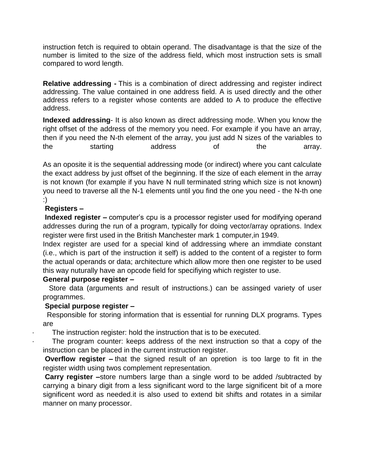instruction fetch is required to obtain operand. The disadvantage is that the size of the number is limited to the size of the address field, which most instruction sets is small compared to word length.

**Relative addressing -** This is a combination of direct addressing and register indirect addressing. The value contained in one address field. A is used directly and the other address refers to a register whose contents are added to A to produce the effective address.

**Indexed addressing**- It is also known as direct addressing mode. When you know the right offset of the address of the memory you need. For example if you have an array, then if you need the N-th element of the array, you just add N sizes of the variables to the starting address of the array.

As an oposite it is the sequential addressing mode (or indirect) where you cant calculate the exact address by just offset of the beginning. If the size of each element in the array is not known (for example if you have N null terminated string which size is not known) you need to traverse all the N-1 elements until you find the one you need - the N-th one :)

# **Registers –**

**Indexed register –** computer's cpu is a processor register used for modifying operand addresses during the run of a program, typically for doing vector/array oprations. Index register were first used in the British Manchester mark 1 computer,in 1949.

Index register are used for a special kind of addressing where an immdiate constant (i.e., which is part of the instruction it self) is added to the content of a register to form the actual operands or data; architecture which allow more then one register to be used this way nuturally have an opcode field for specifiying which register to use.

#### **General purpose register –**

Store data (arguments and result of instructions.) can be assinged variety of user programmes.

#### **Special purpose register –**

Responsible for storing information that is essential for running DLX programs. Types are

The instruction register: hold the instruction that is to be executed.

The program counter: keeps address of the next instruction so that a copy of the instruction can be placed in the current instruction register.

**Overflow register –** that the signed result of an opretion is too large to fit in the register width using twos complement representation.

**Carry register –**store numbers large than a single word to be added /subtracted by carrying a binary digit from a less significant word to the large significent bit of a more significent word as needed.it is also used to extend bit shifts and rotates in a similar manner on many processor.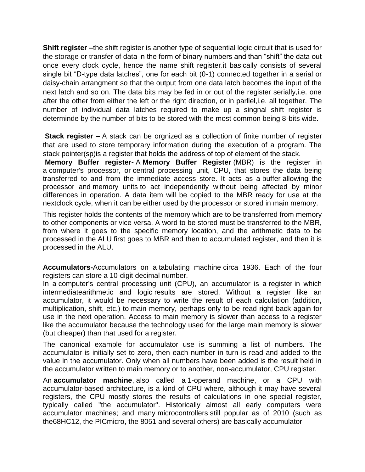**Shift register –**the shift register is another type of sequential logic circuit that is used for the storage or transfer of data in the form of binary numbers and than "shift" the data out once every clock cycle, hence the name shift register.it basically consists of several single bit "D-type data latches", one for each bit (0-1) connected together in a serial or daisy-chain arrangment so that the output from one data latch becomes the input of the next latch and so on. The data bits may be fed in or out of the register serially,i.e. one after the other from either the left or the right direction, or in parllel,i.e. all together. The number of individual data latches required to make up a singnal shift register is determinde by the number of bits to be stored with the most common being 8-bits wide.

**Stack register –** A stack can be orgnized as a collection of finite number of register that are used to store temporary information during the execution of a program. The stack pointer(sp)is a register that holds the address of top of element of the stack.

**Memory Buffer register-** A **Memory Buffer Register** (MBR) is the register in a [computer'](http://en.wikipedia.org/wiki/Computer)s processor, or [central processing unit,](http://en.wikipedia.org/wiki/Central_processing_unit) CPU, that stores the data being transferred to and from the immediate access store. It acts as a [buffer](http://en.wikipedia.org/wiki/Buffer_%28computer_science%29) allowing the processor and [memory units](http://en.wikipedia.org/wiki/Random_access_memory) to act independently without being affected by minor differences in operation. A data item will be copied to the MBR ready for use at the nex[tclock](http://en.wikipedia.org/wiki/Clock_signal) cycle, when it can be either used by the processor or stored in main memory.

This register holds the contents of the memory which are to be transferred from memory to other components or vice versa. A [word](http://en.wikipedia.org/wiki/Word_%28data_type%29) to be stored must be transferred to the MBR, from where it goes to the specific memory location, and the arithmetic data to be processed in the [ALU](http://en.wikipedia.org/wiki/Arithmetic_logic_unit) first goes to MBR and then to accumulated register, and then it is processed in the ALU.

**Accumulators-**Accumulators on a [tabulating machine](http://en.wikipedia.org/wiki/Tabulating_machine) circa 1936. Each of the four registers can store a 10-digit decimal number.

In a [computer'](http://en.wikipedia.org/wiki/Computer)s central processing unit [\(CPU\)](http://en.wikipedia.org/wiki/Central_processing_unit), an accumulator is a [register](http://en.wikipedia.org/wiki/Processor_register) in which intermediat[earithmetic and](http://en.wikipedia.org/wiki/Arithmetic_logic_unit) logic results are stored. Without a register like an accumulator, it would be necessary to write the result of each calculation (addition, multiplication, shift, etc.) to [main memory,](http://en.wikipedia.org/wiki/Primary_storage) perhaps only to be read right back again for use in the next operation. Access to main memory is slower than access to a register like the accumulator because the technology used for the large main memory is slower (but cheaper) than that used for a register.

The canonical example for accumulator use is summing a list of numbers. The accumulator is initially set to zero, then each number in turn is read and added to the value in the accumulator. Only when all numbers have been added is the result held in the accumulator written to main memory or to another, non-accumulator, CPU register.

An **accumulator machine**, also called a [1-operand machine,](http://en.wikipedia.org/wiki/Instruction_set_architecture) or a CPU with accumulator-based architecture, is a kind of CPU where, although it may have several registers, the CPU mostly stores the results of calculations in one special register, typically called "the accumulator". Historically almost all early computers were accumulator machines; and many [microcontrollers](http://en.wikipedia.org/wiki/Microcontroller) still popular as of 2010 (such as th[e68HC12,](http://en.wikipedia.org/wiki/68HC12) the [PICmicro,](http://en.wikipedia.org/wiki/PICmicro) the [8051](http://en.wikipedia.org/wiki/8051) and several others) are basically accumulator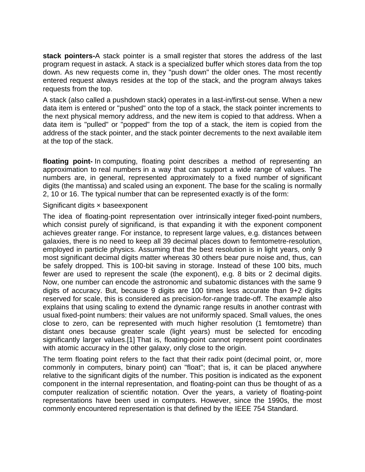**stack pointers-**A stack pointer is a small [register](http://whatis.techtarget.com/definition/register) that stores the address of the last program request in [astack.](http://searchcio-midmarket.techtarget.com/definition/stack) A stack is a specialized [buffer](http://searchcio-midmarket.techtarget.com/definition/buffer) which stores data from the top down. As new requests come in, they "push down" the older ones. The most recently entered request always resides at the top of the stack, and the program always takes requests from the top.

A stack (also called a pushdown stack) operates in a last-in/first-out sense. When a new data item is entered or "pushed" onto the top of a stack, the stack pointer increments to the next physical memory address, and the new item is copied to that address. When a data item is "pulled" or "popped" from the top of a stack, the item is copied from the address of the stack pointer, and the stack pointer decrements to the next available item at the top of the stack.

**floating point-** In [computing,](http://en.wikipedia.org/wiki/Computing) floating point describes a method of representing an approximation to [real numbers](http://en.wikipedia.org/wiki/Real_number) in a way that can support a wide range of values. The numbers are, in general, represented approximately to a fixed number of [significant](http://en.wikipedia.org/wiki/Significant_figures)  [digits](http://en.wikipedia.org/wiki/Significant_figures) (the mantissa) and scaled using an [exponent.](http://en.wikipedia.org/wiki/Exponentiation) The base for the scaling is normally 2, 10 or 16. The typical number that can be represented exactly is of the form:

#### Significant digits × baseexponent

The idea of floating-point representation over intrinsically [integer](http://en.wikipedia.org/wiki/Integer_%28computer_science%29) [fixed-point](http://en.wikipedia.org/wiki/Fixed-point_arithmetic) numbers, which consist purely of [significand,](http://en.wikipedia.org/wiki/Significand) is that expanding it with the exponent component achieves greater range. For instance, to represent large values, e.g. distances between galaxies, there is no need to keep all 39 decimal places down to [femtometre-](http://en.wikipedia.org/wiki/Femtometre)resolution, employed in particle physics. Assuming that the best resolution is in light [years,](http://en.wikipedia.org/wiki/Light_years) only 9 most significant decimal digits matter whereas 30 others bear pure noise and, thus, can be safely dropped. This is 100-bit saving in storage. Instead of these 100 bits, much fewer are used to represent the scale (the exponent), e.g. 8 bits or 2 decimal digits. Now, one number can encode the astronomic and subatomic distances with the same 9 digits of accuracy. But, because 9 digits are 100 times less accurate than 9+2 digits reserved for scale, this is considered as [precision-](http://en.wikipedia.org/wiki/Accuracy_and_precision)for-range [trade-off.](http://en.wikipedia.org/wiki/Trade-off) The example also explains that using scaling to extend the dynamic range results in another contrast with usual fixed-point numbers: their values are not uniformly spaced. Small values, the ones close to zero, can be represented with much higher resolution (1 femtometre) than distant ones because greater scale (light years) must be selected for encoding significantly larger values[.\[1\]](http://en.wikipedia.org/wiki/Floating_point) That is, floating-point cannot represent point coordinates with atomic accuracy in the other galaxy, only close to the origin.

The term floating point refers to the fact that their [radix point](http://en.wikipedia.org/wiki/Radix_point) (decimal point, or, more commonly in computers, binary point) can "float"; that is, it can be placed anywhere relative to the significant digits of the number. This position is indicated as the exponent component in the internal representation, and floating-point can thus be thought of as a computer realization of [scientific notation.](http://en.wikipedia.org/wiki/Scientific_notation) Over the years, a variety of floating-point representations have been used in computers. However, since the 1990s, the most commonly encountered representation is that defined by the [IEEE 754](http://en.wikipedia.org/wiki/IEEE_754) Standard.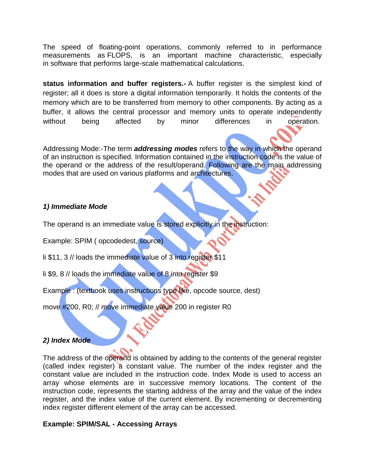The speed of floating-point operations, commonly referred to in performance measurements as [FLOPS,](http://en.wikipedia.org/wiki/FLOPS) is an important machine characteristic, especially in [software](http://en.wikipedia.org/wiki/Software) that performs large-scale mathematical calculations.

**status information and buffer registers.-** A buffer register is the simplest kind of register; all it does is store a digital information temporarily. It holds the contents of the memory which are to be transferred from memory to other components. By acting as a buffer, it allows the central processor and memory units to operate independently without being affected by minor differences in operation.

Addressing Mode:-The term *addressing modes* refers to the way in which the operand of an instruction is specified. Information contained in the instruction code is the value of the operand or the address of the result/operand. Following are the main addressing modes that are used on various platforms and architectures.

### *1) Immediate Mode*

The operand is an immediate value is stored explicitly in the instruction:

Example: SPIM ( opcodedest, source)

li \$11, 3 // loads the immediate value of 3 into register \$11

li \$9, 8 // loads the immediate value of 8 into register \$9

Example : (textbook uses instructions type like, opcode source, dest)

move #200, R0; // move immediate value 200 in register R0

# *2) Index Mode*

The address of the operand is obtained by adding to the contents of the general register (called index register) a constant value. The number of the index register and the constant value are included in the instruction code. Index Mode is used to access an array whose elements are in successive memory locations. The content of the instruction code, represents the starting address of the array and the value of the index register, and the index value of the current element. By incrementing or decrementing index register different element of the array can be accessed.

#### **Example: SPIM/SAL - Accessing Arrays**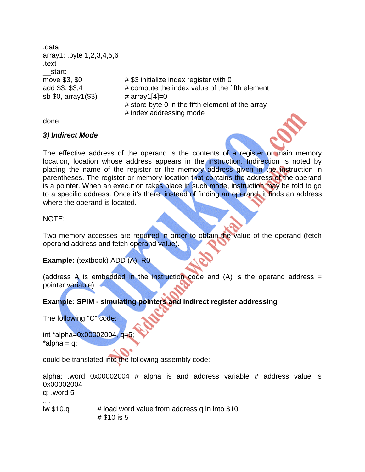.data array1: .byte 1,2,3,4,5,6 .text \_\_start: sb \$0, array1(\$3)  $\# \arctan(4)=0$ 

move  $$3, $0$   $*$   $$3$  initialize index register with 0 add \$3, \$3,4 # compute the index value of the fifth element # store byte 0 in the fifth element of the array # index addressing mode

done

#### *3) Indirect Mode*

The effective address of the operand is the contents of a register or main memory location, location whose address appears in the instruction. Indirection is noted by placing the name of the register or the memory address given in the instruction in parentheses. The register or memory location that contains the address of the operand is a pointer. When an execution takes place in such mode, instruction may be told to go to a specific address. Once it's there, instead of finding an operand, it finds an address where the operand is located.

#### NOTE:

Two memory accesses are required in order to obtain the value of the operand (fetch operand address and fetch operand value).

#### **Example:** (textbook) ADD (A), R0

(address A is embedded in the instruction code and  $(A)$  is the operand address = pointer variable)

# **Example: SPIM - simulating pointers and indirect register addressing**

The following "C" code:

 $int *alpha = 0x00002004$  $*$ alpha = q;

could be translated into the following assembly code:

alpha: .word 0x00002004 # alpha is and address variable # address value is 0x00002004

q: .word 5

....

lw  $$10,q$  # load word value from address q in into  $$10$  $# $10$  is 5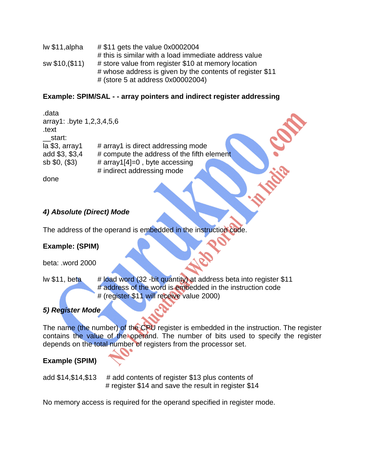| $lw$ \$11, alpha | $\# $11$ gets the value 0x0002004                         |
|------------------|-----------------------------------------------------------|
|                  | # this is similar with a load immediate address value     |
| sw \$10, (\$11)  | # store value from register \$10 at memory location       |
|                  | # whose address is given by the contents of register \$11 |
|                  | # (store 5 at address $0x00002004$ )                      |

### **Example: SPIM/SAL - - array pointers and indirect register addressing**

| .data                     |                                            |
|---------------------------|--------------------------------------------|
| array1: .byte 1,2,3,4,5,6 |                                            |
| .text                     |                                            |
| start:                    |                                            |
| la \$3, array1            | # array1 is direct addressing mode         |
| add \$3, \$3,4            | # compute the address of the fifth element |
| sb \$0, (\$3)             | # array1[4]=0, byte accessing              |
|                           | # indirect addressing mode                 |
|                           |                                            |

done

### *4) Absolute (Direct) Mode*

The address of the operand is embedded in the instruction code.

#### **Example: (SPIM)**

beta: .word 2000

lw \$11, beta  $\#$  load word (32 -bit quantity) at address beta into register \$11 # address of the word is embedded in the instruction code # (register \$11 will receive value 2000)

 $\sum_{i=1}^n$ 

# *5) Register Mode*

The name (the number) of the CPU register is embedded in the instruction. The register contains the value of the operand. The number of bits used to specify the register depends on the total number of registers from the processor set.

# **Example (SPIM)**

add \$14,\$14,\$13 # add contents of register \$13 plus contents of # register \$14 and save the result in register \$14

No memory access is required for the operand specified in register mode.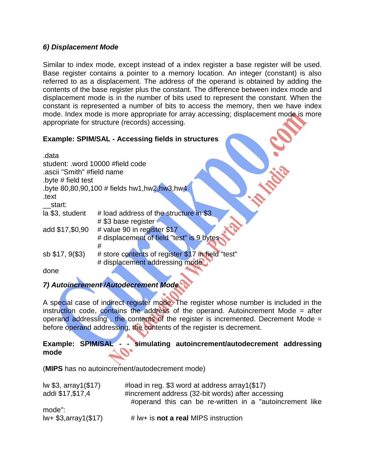### *6) Displacement Mode*

Similar to index mode, except instead of a index register a base register will be used. Base register contains a pointer to a memory location. An integer (constant) is also referred to as a displacement. The address of the operand is obtained by adding the contents of the base register plus the constant. The difference between index mode and displacement mode is in the number of bits used to represent the constant. When the constant is represented a number of bits to access the memory, then we have index mode. Index mode is more appropriate for array accessing; displacement mode is more appropriate for structure (records) accessing.

**Via** 

# **Example: SPIM/SAL - Accessing fields in structures**

| .data                      |                                                   |
|----------------------------|---------------------------------------------------|
|                            | student: .word 10000 #field code                  |
| .ascii "Smith" #field name |                                                   |
| .byte # field test         |                                                   |
|                            | .byte 80,80,90,100 # fields hw1,hw2,hw3,hw4       |
| .text                      |                                                   |
| start:                     |                                                   |
| la \$3, student            | # load address of the structure in \$3            |
|                            | # \$3 base register                               |
| add \$17,\$0,90            | # value 90 in register \$17                       |
|                            | # displacement of field "test" is 9 bytes         |
|                            | #                                                 |
| sb \$17, 9(\$3)            | # store contents of register \$17 in field "test" |
|                            | # displacement addressing mode                    |
| done                       |                                                   |

# *7) Autoincrement /Autodecrement Mode*

A special case of indirect register mode. The register whose number is included in the instruction code, contains the address of the operand. Autoincrement Mode = after operand addressing , the contents of the register is incremented. Decrement Mode = before operand addressing, the contents of the register is decrement.

### **Example: SPIM/SAL - - simulating autoincrement/autodecrement addressing mode**

(**MIPS** has no autoincrement/autodecrement mode)

| $Iw $3$ , $array1($17)$<br>addi \$17,\$17,4 | #load in reg. \$3 word at address array1(\$17)<br>#increment address (32-bit words) after accessing<br>#operand this can be re-written in a "autoincrement like" |
|---------------------------------------------|------------------------------------------------------------------------------------------------------------------------------------------------------------------|
| mode":<br>$lw + $3, array1($17)$            | # lw+ is <b>not a real</b> MIPS instruction                                                                                                                      |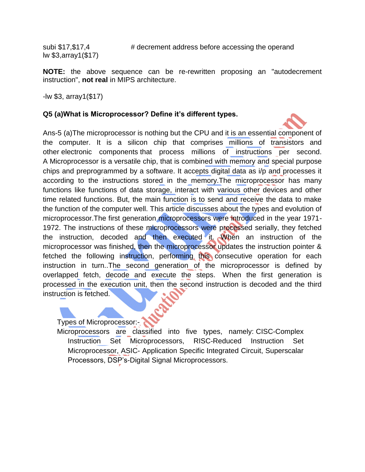lw \$3,array1(\$17)

**NOTE:** the above sequence can be re-rewritten proposing an "autodecrement instruction", **not real** in MIPS architecture.

-lw \$3, array1(\$17)

### **Q5 (a)What is Microprocessor? Define it's different types.**

Ans-5 (a)The microprocessor is nothing but the CPU and it is an essential component of the computer. It is a silicon chip that comprises millions of transistors and other electronic [components](https://www.elprocus.com/buy-electronic-components-and-kits-through-online-shoping-sites/) that process millions of instructions per second. A [Microprocessor](https://www.elprocus.com/embedded-microprocessor-importance-and-its-real-time-applications/) is a versatile chip, that is combined with memory and special purpose chips and preprogrammed by a software. It accepts digital data as i/p and processes it according to the instructions stored in the memory.The microprocessor has many functions like functions of data storage, interact with various other devices and other time related functions. But, the main function is to send and receive the data to make the function of the computer well. This article discusses about the types and evolution of microprocessor.The first generation microprocessors were introduced in the year 1971- 1972. The instructions of these microprocessors were processed serially, they fetched the instruction, decoded and then executed it. When an instruction of the microprocessor was finished, then the microprocessor updates the instruction pointer & fetched the following instruction, performing this consecutive operation for each instruction in turn..The second generation of the microprocessor is defined by overlapped fetch, decode and execute the steps. When the first generation is processed in the execution unit, then the second instruction is decoded and the third instruction is fetched.

Types of Microprocessor:-

Microprocessors are classified into five types, namely: [CISC-Complex](https://www.elprocus.com/what-is-risc-and-cisc-architecture-and-their-workings/) Instruction Set [Microprocessors,](https://www.elprocus.com/what-is-risc-and-cisc-architecture-and-their-workings/) RISC-Reduced Instruction Set [Microprocessor,](https://www.elprocus.com/what-is-risc-and-cisc-architecture-and-their-workings/) ASIC- Application Specific Integrated Circuit, Superscalar Processors, DSP"s-Digital Signal Microprocessors.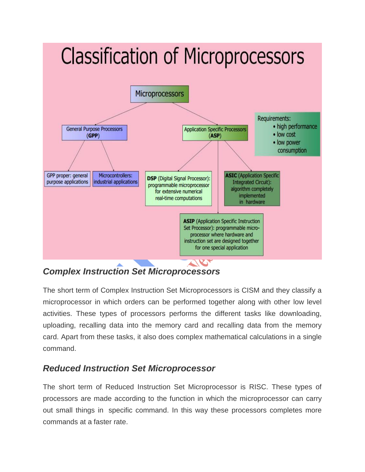

# *Complex Instruction Set Microprocessors*

The short term of Complex Instruction Set Microprocessors is CISM and they classify a microprocessor in which orders can be performed together along with other low level activities. These types of processors performs the different tasks like downloading, uploading, recalling data into the memory card and recalling data from the memory card. Apart from these tasks, it also does complex mathematical calculations in a single command.

# *Reduced Instruction Set Microprocessor*

The short term of Reduced Instruction Set Microprocessor is RISC. These types of processors are made according to the function in which the microprocessor can carry out small things in specific command. In this way these processors completes more commands at a faster rate.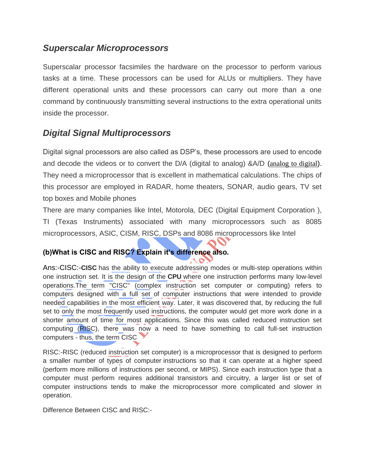# *Superscalar Microprocessors*

Superscalar processor facsimiles the hardware on the processor to perform various tasks at a time. These processors can be used for ALUs or multipliers. They have different operational units and these processors can carry out more than a one command by continuously transmitting several instructions to the extra operational units inside the processor.

# *Digital Signal Multiprocessors*

Digital signal processors are also called as DSP"s, these processors are used to encode and decode the videos or to convert the D/A (digital to analog) &A/D ([analog](https://www.elprocus.com/analog-digital-converters/) to digital). They need a microprocessor that is excellent in mathematical calculations. The chips of this processor are employed in RADAR, home theaters, SONAR, audio gears, TV set top boxes and Mobile phones

There are many companies like Intel, Motorola, DEC (Digital Equipment Corporation ), TI (Texas Instruments) associated with many microprocessors such as 8085 microprocessors, ASIC, CISM, RISC, DSPs and 8086 microprocessors like Intel

# **(b)What is CISC and RISC? Explain it's difference also.**

Ans:-CISC:-**CISC** has the ability to execute addressing modes or multi-step operations within one instruction set. It is the design of the **CPU** where one instruction performs many low-level operations.The term "CISC" (complex instruction set computer or computing) refers to computers designed with a full set of computer instructions that were intended to provide needed capabilities in the most efficient way. Later, it was discovered that, by reducing the full set to only the most frequently used instructions, the computer would get more work done in a shorter amount of time for most applications. Since this was called reduced instruction set computing [\(RISC\)](http://search400.techtarget.com/definition/RISC), there was now a need to have something to call full-set instruction computers - thus, the term CISC

RISC:-RISC (reduced instruction set computer) is a [microprocessor](http://searchcio-midmarket.techtarget.com/definition/microprocessor) that is designed to perform a smaller number of types of computer [instructions](http://searchcio-midmarket.techtarget.com/definition/instruction) so that it can operate at a higher speed (perform more millions of instructions per second, or [MIPS\)](http://searchdatacenter.techtarget.com/definition/MIPS). Since each instruction type that a computer must perform requires additional transistors and circuitry, a larger list or set of computer instructions tends to make the microprocessor more complicated and slower in operation.

Difference Between CISC and RISC:-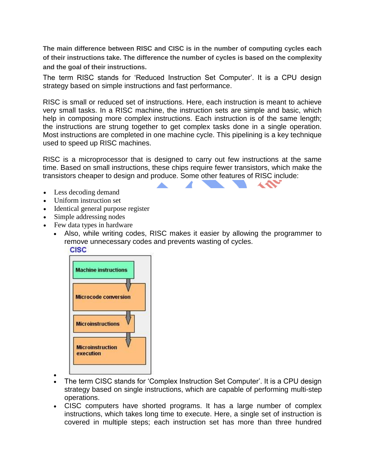**The main difference between RISC and CISC is in the number of computing cycles each of their instructions take. The difference the number of cycles is based on the complexity and the goal of their instructions.**

The term RISC stands for "Reduced Instruction Set Computer". It is a CPU design strategy based on simple instructions and fast performance.

RISC is small or reduced set of instructions. Here, each instruction is meant to achieve very small tasks. In a RISC machine, the instruction sets are simple and basic, which help in composing more complex instructions. Each instruction is of the same length; the instructions are strung together to get complex tasks done in a single operation. Most instructions are completed in one machine cycle. This pipelining is a key technique used to speed up RISC machines.

RISC is a microprocessor that is designed to carry out few instructions at the same time. Based on small instructions, these chips require fewer transistors, which make the transistors cheaper to design and produce. Some other features of RISC include:

- Less decoding demand
- Uniform instruction set
- Identical general purpose register
- Simple addressing nodes
- Few data types in hardware
	- Also, while writing codes, RISC makes it easier by allowing the programmer to remove unnecessary codes and prevents wasting of cycles.



|                                      | <b>Machine instructions</b> |  |
|--------------------------------------|-----------------------------|--|
|                                      | <b>Microcode conversion</b> |  |
| <b>Microinstructions</b>             |                             |  |
| <b>Microinstruction</b><br>execution |                             |  |

- $\bullet$
- The term CISC stands for "Complex Instruction Set Computer". It is a CPU design strategy based on single instructions, which are capable of performing multi-step operations.
- CISC computers have shorted programs. It has a large number of complex instructions, which takes long time to execute. Here, a single set of instruction is covered in multiple steps; each instruction set has more than three hundred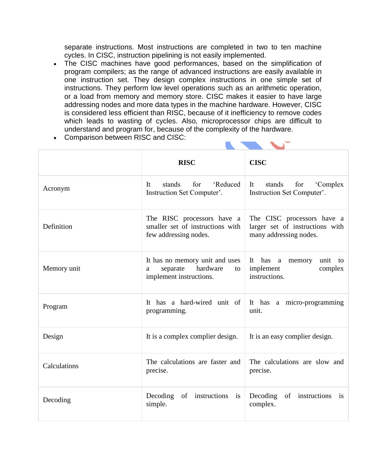separate instructions. Most instructions are completed in two to ten machine cycles. In CISC, instruction pipelining is not easily implemented.

- The CISC machines have good performances, based on the simplification of program compilers; as the range of advanced instructions are easily available in one instruction set. They design complex instructions in one simple set of instructions. They perform low level operations such as an arithmetic operation, or a load from memory and memory store. CISC makes it easier to have large addressing nodes and more data types in the machine hardware. However, CISC is considered less efficient than RISC, because of it inefficiency to remove codes which leads to wasting of cycles. Also, microprocessor chips are difficult to understand and program for, because of the complexity of the hardware.
- Comparison between RISC and CISC:

|              | <b>RISC</b>                                                                                  | <b>CISC</b>                                                                             |
|--------------|----------------------------------------------------------------------------------------------|-----------------------------------------------------------------------------------------|
| Acronym      | for<br>'Reduced<br>It<br>stands<br>Instruction Set Computer'.                                | for<br>It<br>stands<br>'Complex<br>Instruction Set Computer'.                           |
| Definition   | The RISC processors have a<br>smaller set of instructions with<br>few addressing nodes.      | The CISC processors have a<br>larger set of instructions with<br>many addressing nodes. |
| Memory unit  | It has no memory unit and uses<br>hardware<br>separate<br>to<br>a<br>implement instructions. | It has a memory<br>unit to<br>implement<br>complex<br>instructions.                     |
| Program      | It has a hard-wired unit of<br>programming.                                                  | It has a micro-programming<br>unit.                                                     |
| Design       | It is a complex complier design.                                                             | It is an easy complier design.                                                          |
| Calculations | The calculations are faster and<br>precise.                                                  | The calculations are slow and<br>precise.                                               |
| Decoding     | Decoding of instructions is<br>simple.                                                       | Decoding of instructions is<br>complex.                                                 |